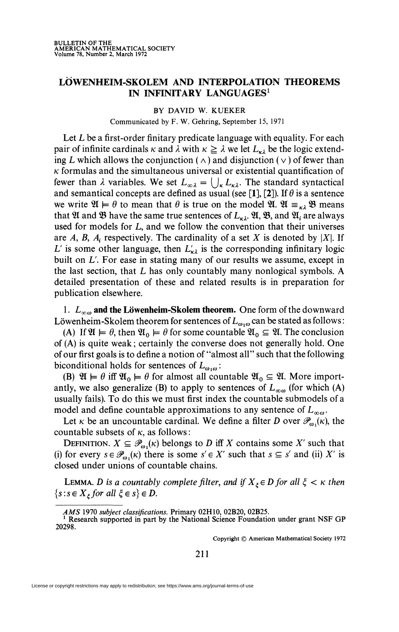## **LÖWENHEIM-SKOLEM AND INTERPOLATION THEOREMS IN INFINITARY LANGUAGES<sup>1</sup>**

BY DAVID W. KUEKER Communicated by F. W. Gehring, September 15, 1971

Let L be a first-order finitary predicate language with equality. For each pair of infinite cardinals  $\kappa$  and  $\lambda$  with  $\kappa \geq \lambda$  we let  $L_{\kappa\lambda}$  be the logic extending L which allows the conjunction ( $\wedge$ ) and disjunction ( $\vee$ ) of fewer than  $\kappa$  formulas and the simultaneous universal or existential quantification of fewer than  $\lambda$  variables. We set  $L_{\infty\lambda} = \bigcup_{\kappa} L_{\kappa\lambda}$ . The standard syntactical and semantical concepts are defined as usual (see [1], [2]). If  $\theta$  is a sentence we write  $\mathfrak{A} \models \theta$  to mean that  $\theta$  is true on the model  $\mathfrak{A}$ .  $\mathfrak{A} \equiv_{\kappa \lambda} \mathfrak{B}$  means that  $\mathfrak A$  and  $\mathfrak B$  have the same true sentences of  $L_{k\lambda}$ ,  $\mathfrak A$ ,  $\mathfrak B$ , and  $\mathfrak A_i$  are always used for models for L, and we follow the convention that their universes are A, B,  $A_i$  respectively. The cardinality of a set X is denoted by |X|. If L' is some other language, then  $L'_{k\lambda}$  is the corresponding infinitary logic built on L'. For ease in stating many of our results we assume, except in the last section, that L has only countably many nonlogical symbols. A detailed presentation of these and related results is in preparation for publication elsewhere.

1.  $L_{\infty,\omega}$  and the Löwenheim-Skolem theorem. One form of the downward Löwenheim-Skolem theorem for sentences of  $L_{\omega,\omega}$  can be stated as follows :

(A) If  $\mathfrak{A} \models \theta$ , then  $\mathfrak{A}_0 \models \theta$  for some countable  $\mathfrak{A}_0 \subseteq \mathfrak{A}$ . The conclusion of (A) is quite weak ; certainly the converse does not generally hold. One of our first goals is to define a notion of "almost all" such that the following biconditional holds for sentences of *Lœiœ:* 

(B)  $\mathfrak{A} \models \theta$  iff  $\mathfrak{A}_0 \models \theta$  for almost all countable  $\mathfrak{A}_0 \subseteq \mathfrak{A}$ . More importantly, we also generalize (B) to apply to sentences of  $L_{\infty}$  (for which (A) usually fails). To do this we must first index the countable submodels of a model and define countable approximations to any sentence of  $L_{\infty}$ .

Let  $\kappa$  be an uncountable cardinal. We define a filter *D* over  $\mathcal{P}_{\omega_1}(\kappa)$ , the countable subsets of  $\kappa$ , as follows :

DEFINITION.  $X \subseteq \mathcal{P}_{\omega}(k)$  belongs to *D* iff *X* contains some *X'* such that (i) for every  $s \in \mathcal{P}^{\prime}_{\omega}(k)$  there is some  $s' \in X'$  such that  $s \subseteq s'$  and (ii) X' is closed under unions of countable chains.

**LEMMA.** D is a countably complete filter, and if  $X_\xi \in D$  for all  $\xi < \kappa$  then  ${s : s \in X_z for all \xi \in s} \in D$ .

Copyright © American Mathematical Society 1972

**211** 

License or copyright restrictions may apply to redistribution; see https://www.ams.org/journal-terms-of-use

*AMS* 1970 *subject classifications.* Primary 02H10, 02B20, 02B25. 1 Research supported in part by the National Science Foundation under grant NSF GP 20298.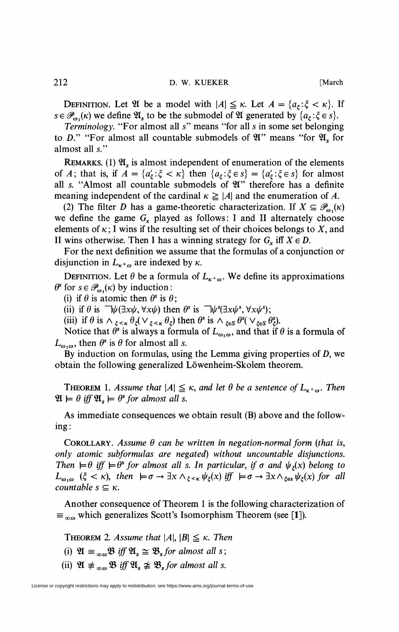**DEFINITION.** Let  $\mathfrak{A}$  be a model with  $|A| \leq \kappa$ . Let  $A = \{a_{\xi} : \xi < \kappa\}$ . If

 $s \in \mathcal{P}_{\omega_1}(\kappa)$  we define  $\mathfrak{A}_s$  to be the submodel of  $\mathfrak{A}$  generated by  $\{a_{\xi} : \xi \in s\}$ . *Terminology.* "For almost all s" means "for all *s* in some set belonging to D." "For almost all countable submodels of  $\mathfrak{A}$ " means "for  $\mathfrak{A}$ , for almost all s."

REMARKS. (1)  $\mathfrak{A}_s$  is almost independent of enumeration of the elements of *A*; that is, if  $A = \{a'_k : \xi < \kappa\}$  then  $\{a_k : \xi \in s\} = \{a'_k : \xi \in s\}$  for almost all s. "Almost all countable submodels of 21" therefore has a definite meaning independent of the cardinal  $\kappa \geq |A|$  and the enumeration of A.

(2) The filter *D* has a game-theoretic characterization. If  $X \subseteq \mathcal{P}_{\omega}(\kappa)$ we define the game  $G_x$  played as follows: I and II alternately choose elements of  $\kappa$ ; I wins if the resulting set of their choices belongs to X, and II wins otherwise. Then I has a winning strategy for  $G_r$  iff  $X \in D$ .

For the next definition we assume that the formulas of a conjunction or disjunction in  $L_{\kappa+\omega}$  are indexed by  $\kappa$ .

DEFINITION. Let  $\theta$  be a formula of  $L_{\kappa+\omega}$ . We define its approximations  $\theta^s$  for  $s \in \mathcal{P}_{\omega_1}(\kappa)$  by induction :

(i) if  $\theta$  is atomic then  $\theta^s$  is  $\theta$ ;

(ii) if  $\theta$  is  $\neg \psi(\exists x \psi, \forall x \psi)$  then  $\theta^s$  is  $\neg \psi^s(\exists x \psi^s, \forall x \psi^s)$ ;

(iii) if  $\theta$  is  $\wedge_{\xi \leq \kappa} \theta_{\xi} (\vee_{\xi \leq \kappa} \theta_{\xi})$  then  $\theta^s$  is  $\wedge_{\xi \in S} \theta^s (\vee_{\xi \in S} \theta_{\xi})$ .

Notice that  $\theta^s$  is always a formula of  $L_{\omega_1\omega}$ , and that if  $\theta$  is a formula of  $L_{\omega_1\omega}$ , then  $\theta^s$  is  $\theta$  for almost all *s*.

By induction on formulas, using the Lemma giving properties of  $D$ , we obtain the following generalized Löwenheim-Skolem theorem.

**THEOREM** 1. Assume that  $|A| \leq \kappa$ , and let  $\theta$  be a sentence of  $L_{\kappa^+\omega}$ . Then  $\mathfrak{A} \models \theta \text{ iff } \mathfrak{A}_s \models \theta^s \text{ for almost all } s.$ 

As immediate consequences we obtain result (B) above and the following:

COROLLARY. Assume  $\theta$  can be written in negation-normal form (that is, *only atomic subformulas are negated) without uncountable disjunctions. Then*  $\models \theta$  *iff*  $\models \theta^s$  *for almost all s. In particular, if*  $\sigma$  *and*  $\psi_z(x)$  *belong to*  $L_{\omega,\omega}$  ( $\xi < \kappa$ ), then  $\models \sigma \rightarrow \exists x \wedge_{\xi < \kappa} \psi_{\xi}(x)$  iff  $\models \sigma \rightarrow \exists x \wedge_{\xi \in \mathcal{S}} \psi_{\xi}(x)$  for all *countable s*  $\subseteq$   $\kappa$ *.* 

Another consequence of Theorem 1 is the following characterization of  $\equiv_{\infty \omega}$  which generalizes Scott's Isomorphism Theorem (see [1]).

**THEOREM** 2. Assume that  $|A|, |B| \leq \kappa$ . Then

(i)  $\mathfrak{A} \equiv \int_{\infty}^{\infty} \mathfrak{B} \mathfrak{g} \mathfrak{g} \mathfrak{g} \mathfrak{g} \simeq \mathfrak{B}_s$  for almost all s;

(ii)  $\mathfrak{A} \not\equiv \mathfrak{g}_{\omega} \mathfrak{B}$  *iff*  $\mathfrak{A}_s \not\cong \mathfrak{B}_s$  *for almost all s.*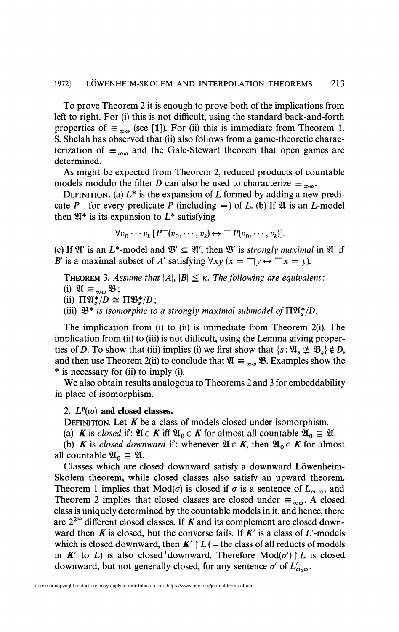To prove Theorem 2 it is enough to prove both of the implications from left to right. For (i) this is not difficult, using the standard back-and-forth properties of  $\equiv_{\infty \omega}$  (see [1]). For (ii) this is immediate from Theorem 1. S. Shelah has observed that (ii) also follows from a game-theoretic characterization of  $\equiv_{\infty}$  and the Gale-Stewart theorem that open games are determined.

As might be expected from Theorem 2, reduced products of countable models modulo the filter *D* can also be used to characterize  $\equiv_{\infty \omega}$ .

DEFINITION. (a)  $L^*$  is the expansion of L formed by adding a new predicate  $P_{\perp}$  for every predicate P (including =) of L. (b) If  $\mathfrak{A}$  is an L-model then  $\mathfrak{A}^*$  is its expansion to  $L^*$  satisfying

$$
\forall v_0 \cdots v_k [P \neg (v_0, \cdots, v_k) \leftrightarrow \neg P(v_0, \cdots, v_k)].
$$

(c) If  $\mathfrak{A}'$  is an  $L^*$ -model and  $\mathfrak{B}' \subseteq \mathfrak{A}'$ , then  $\mathfrak{B}'$  is *strongly maximal* in  $\mathfrak{A}'$  if *B'* is a maximal subset of *A'* satisfying  $\forall xy (x = \neg y \leftrightarrow \neg x = y)$ .

THEOREM 3. Assume that  $|A|, |B| \leq \kappa$ . The following are equivalent:

(i)  $\mathfrak{A} \equiv_{\infty \omega} \mathfrak{B}$ ;

(ii)  $\Pi \mathfrak{A}^*/D \cong \Pi \mathfrak{B}^*/D$ ;

(iii)  $\mathfrak{B}^*$  is isomorphic to a strongly maximal submodel of  $\Pi \mathfrak{A}^*_{s}/D$ .

The implication from (i) to (ii) is immediate from Theorem 2(i). The implication from (ii) to (iii) is not difficult, using the Lemma giving properties of D. To show that (iii) implies (i) we first show that  $\{s: \mathfrak{A}_s \not\cong \mathfrak{B}_s\} \notin D$ , and then use Theorem 2(ii) to conclude that  $\mathfrak{A} \equiv \mathfrak{g}_0 \mathfrak{B}$ . Examples show the \* is necessary for (ii) to imply (i).

We also obtain results analogous to Theorems 2 and 3 for embeddability in place of isomorphism.

## 2.  $L^p(\omega)$  and closed classes.

DEFINITION. Let  $K$  be a class of models closed under isomorphism.

(a) **K** is closed if:  $\mathfrak{A} \in K$  iff  $\mathfrak{A}_0 \in K$  for almost all countable  $\mathfrak{A}_0 \subseteq \mathfrak{A}$ .

(b) **K** is closed downward if: whenever  $\mathfrak{A} \in K$ , then  $\mathfrak{A}_0 \in K$  for almost all countable  $\mathfrak{A}_0 \subseteq \mathfrak{A}$ .

Classes which are closed downward satisfy a downward Löwenheim-Skolem theorem, while closed classes also satisfy an upward theorem. Theorem 1 implies that  $Mod(\sigma)$  is closed if  $\sigma$  is a sentence of  $L_{\omega_1\omega}$ , and Theorem 2 implies that closed classes are closed under  $\equiv_{\infty}$ . A closed class is uniquely determined by the countable models in it, and hence, there are  $2^{2^{\omega}}$  different closed classes. If **K** and its complement are closed downward then *K* is closed, but the converse fails. If *K'* is a class of L'-models which is closed downward, then  $K' \restriction L$  (= the class of all reducts of models in **K'** to L) is also closed downward. Therefore  $Mod(\sigma') \upharpoonright L$  is closed downward, but not generally closed, for any sentence  $\sigma'$  of  $L'_{\omega,\omega}$ .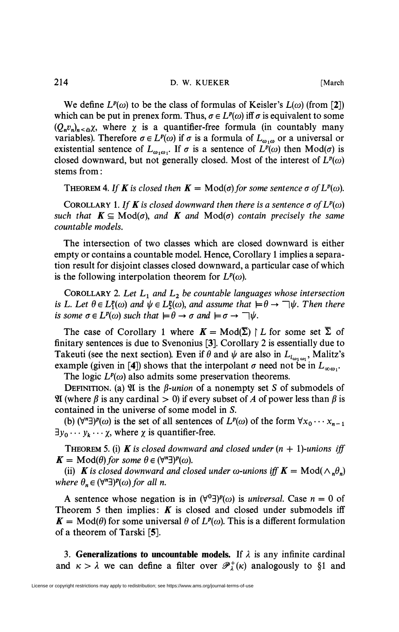We define  $L^p(\omega)$  to be the class of formulas of Keisler's  $L(\omega)$  (from [2]) which can be put in prenex form. Thus,  $\sigma \in L^p(\omega)$  iff  $\sigma$  is equivalent to some  $(Q_n v_n)_{n \le \omega} \chi$ , where  $\chi$  is a quantifier-free formula (in countably many variables). Therefore  $\sigma \in L^p(\omega)$  if  $\sigma$  is a formula of  $L_{\omega_1\omega}$  or a universal or existential sentence of  $L_{\omega_1\omega_1}$ . If  $\sigma$  is a sentence of  $L^p(\omega)$  then Mod( $\sigma$ ) is closed downward, but not generally closed. Most of the interest of  $L^p(\omega)$ stems from :

THEOREM 4. If **K** is closed then **K** = Mod( $\sigma$ ) for some sentence  $\sigma$  of  $L^p(\omega)$ .

COROLLARY 1. If **K** is closed downward then there is a sentence  $\sigma$  of  $L^p(\omega)$ *such that*  $K \subseteq Mod(\sigma)$ *, and*  $K$  *and*  $Mod(\sigma)$  *contain precisely the same countable models.* 

The intersection of two classes which are closed downward is either empty or contains a countable model. Hence, Corollary 1 implies a separation result for disjoint classes closed downward, a particular case of which is the following interpolation theorem for  $L^p(\omega)$ .

COROLLARY 2. *Let L1 and L2 be countable languages whose intersection is L. Let*  $\theta \in L_1^p(\omega)$  and  $\psi \in L_2^p(\omega)$ , and assume that  $\models \theta \rightarrow \neg \psi$ . Then there *is some*  $\sigma \in L^p(\omega)$  *such that*  $\models \theta \rightarrow \sigma$  *and*  $\models \sigma \rightarrow \neg \psi$ .

The case of Corollary 1 where  $K = Mod(\overline{\Sigma}) \restriction L$  for some set  $\overline{\Sigma}$  of finitary sentences is due to Svenonius [3]. Corollary 2 is essentially due to Takeuti (see the next section). Even if  $\theta$  and  $\psi$  are also in  $L_{i_{\omega_1,\omega_1}}$ , Malitz's example (given in [4]) shows that the interpolant  $\sigma$  need not be in  $L_{\infty}$ .

The logic  $L^p(\omega)$  also admits some preservation theorems.

DEFINITION. (a)  $\mathfrak V$  is the  $\beta$ *-union* of a nonempty set *S* of submodels of 21 (where  $\beta$  is any cardinal  $> 0$ ) if every subset of A of power less than  $\beta$  is contained in the universe of some model in *S.* 

(b)  $(\forall^n \exists)^p(\omega)$  is the set of all sentences of  $L^p(\omega)$  of the form  $\forall x_0 \cdots x_{n-1}$  $\exists y_0 \cdots y_k \cdots \chi$ , where  $\chi$  is quantifier-free.

THEOREM 5. (i) **K** is closed downward and closed under  $(n + 1)$ -unions iff  $K = \text{Mod}(\theta)$  for some  $\theta \in (\forall^n \exists)^p(\omega)$ .

(ii) **K** is closed downward and closed under  $\omega$ -unions iff **K** = Mod( $\wedge_n \theta_n$ ) *where*  $\theta_n \in (\forall^n \exists)^p(\omega)$  for all *n*.

A sentence whose negation is in  $(\forall^{0} \exists)^{p}(\omega)$  is *universal*. Case  $n = 0$  of Theorem 5 then implies: *K* is closed and closed under submodels iff  $K = Mod(\theta)$  for some universal  $\theta$  of  $L^p(\omega)$ . This is a different formulation of a theorem of Tarski  $[5]$ .

3. Generalizations to uncountable models. If  $\lambda$  is any infinite cardinal and  $\kappa > \lambda$  we can define a filter over  $\mathcal{P}_{\lambda}^{+}(\kappa)$  analogously to §1 and